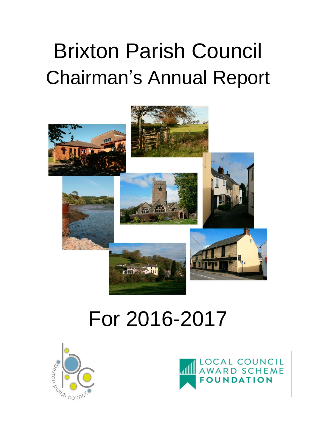## Brixton Parish Council Chairman's Annual Report



## For 2016-2017



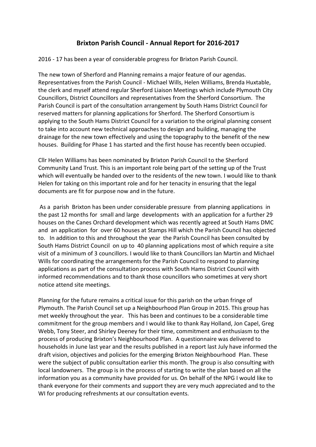## **Brixton Parish Council - Annual Report for 2016-2017**

2016 - 17 has been a year of considerable progress for Brixton Parish Council.

The new town of Sherford and Planning remains a major feature of our agendas. Representatives from the Parish Council - Michael Wills, Helen Williams, Brenda Huxtable, the clerk and myself attend regular Sherford Liaison Meetings which include Plymouth City Councillors, District Councillors and representatives from the Sherford Consortium. The Parish Council is part of the consultation arrangement by South Hams District Council for reserved matters for planning applications for Sherford. The Sherford Consortium is applying to the South Hams District Council for a variation to the original planning consent to take into account new technical approaches to design and building, managing the drainage for the new town effectively and using the topography to the benefit of the new houses. Building for Phase 1 has started and the first house has recently been occupied.

Cllr Helen Williams has been nominated by Brixton Parish Council to the Sherford Community Land Trust. This is an important role being part of the setting up of the Trust which will eventually be handed over to the residents of the new town. I would like to thank Helen for taking on this important role and for her tenacity in ensuring that the legal documents are fit for purpose now and in the future.

As a parish Brixton has been under considerable pressure from planning applications in the past 12 months for small and large developments with an application for a further 29 houses on the Canes Orchard development which was recently agreed at South Hams DMC and an application for over 60 houses at Stamps Hill which the Parish Council has objected to. In addition to this and throughout the year the Parish Council has been consulted by South Hams District Council on up to 40 planning applications most of which require a site visit of a minimum of 3 councillors. I would like to thank Councillors Ian Martin and Michael Wills for coordinating the arrangements for the Parish Council to respond to planning applications as part of the consultation process with South Hams District Council with informed recommendations and to thank those councillors who sometimes at very short notice attend site meetings.

Planning for the future remains a critical issue for this parish on the urban fringe of Plymouth. The Parish Council set up a Neighbourhood Plan Group in 2015. This group has met weekly throughout the year. This has been and continues to be a considerable time commitment for the group members and I would like to thank Ray Holland, Jon Capel, Greg Webb, Tony Steer, and Shirley Deeney for their time, commitment and enthusiasm to the process of producing Brixton's Neighbourhood Plan. A questionnaire was delivered to households in June last year and the results published in a report last July have informed the draft vision, objectives and policies for the emerging Brixton Neighbourhood Plan. These were the subject of public consultation earlier this month. The group is also consulting with local landowners. The group is in the process of starting to write the plan based on all the information you as a community have provided for us. On behalf of the NPG I would like to thank everyone for their comments and support they are very much appreciated and to the WI for producing refreshments at our consultation events.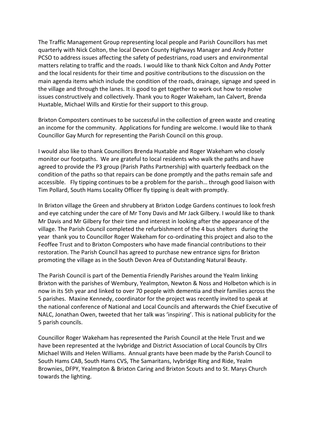The Traffic Management Group representing local people and Parish Councillors has met quarterly with Nick Colton, the local Devon County Highways Manager and Andy Potter PCSO to address issues affecting the safety of pedestrians, road users and environmental matters relating to traffic and the roads. I would like to thank Nick Colton and Andy Potter and the local residents for their time and positive contributions to the discussion on the main agenda items which include the condition of the roads, drainage, signage and speed in the village and through the lanes. It is good to get together to work out how to resolve issues constructively and collectively. Thank you to Roger Wakeham, Ian Calvert, Brenda Huxtable, Michael Wills and Kirstie for their support to this group.

Brixton Composters continues to be successful in the collection of green waste and creating an income for the community. Applications for funding are welcome. I would like to thank Councillor Gay Murch for representing the Parish Council on this group.

I would also like to thank Councillors Brenda Huxtable and Roger Wakeham who closely monitor our footpaths. We are grateful to local residents who walk the paths and have agreed to provide the P3 group (Parish Paths Partnership) with quarterly feedback on the condition of the paths so that repairs can be done promptly and the paths remain safe and accessible. Fly tipping continues to be a problem for the parish… through good liaison with Tim Pollard, South Hams Locality Officer fly tipping is dealt with promptly.

In Brixton village the Green and shrubbery at Brixton Lodge Gardens continues to look fresh and eye catching under the care of Mr Tony Davis and Mr Jack Gilbery. I would like to thank Mr Davis and Mr Gilbery for their time and interest in looking after the appearance of the village. The Parish Council completed the refurbishment of the 4 bus shelters during the year thank you to Councillor Roger Wakeham for co-ordinating this project and also to the Feoffee Trust and to Brixton Composters who have made financial contributions to their restoration. The Parish Council has agreed to purchase new entrance signs for Brixton promoting the village as in the South Devon Area of Outstanding Natural Beauty.

The Parish Council is part of the Dementia Friendly Parishes around the Yealm linking Brixton with the parishes of Wembury, Yealmpton, Newton & Noss and Holbeton which is in now in its 5th year and linked to over 70 people with dementia and their families across the 5 parishes. Maxine Kennedy, coordinator for the project was recently invited to speak at the national conference of National and Local Councils and afterwards the Chief Executive of NALC, Jonathan Owen, tweeted that her talk was 'inspiring'. This is national publicity for the 5 parish councils.

Councillor Roger Wakeham has represented the Parish Council at the Hele Trust and we have been represented at the Ivybridge and District Association of Local Councils by Cllrs Michael Wills and Helen Williams. Annual grants have been made by the Parish Council to South Hams CAB, South Hams CVS, The Samaritans, Ivybridge Ring and Ride, Yealm Brownies, DFPY, Yealmpton & Brixton Caring and Brixton Scouts and to St. Marys Church towards the lighting.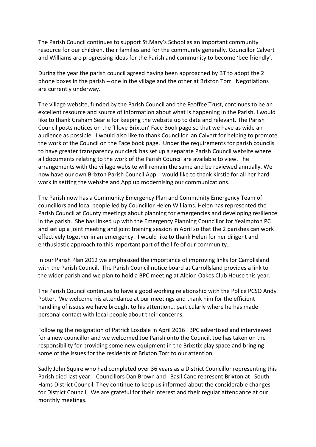The Parish Council continues to support St.Mary's School as an important community resource for our children, their families and for the community generally. Councillor Calvert and Williams are progressing ideas for the Parish and community to become 'bee friendly'.

During the year the parish council agreed having been approached by BT to adopt the 2 phone boxes in the parish – one in the village and the other at Brixton Torr. Negotiations are currently underway.

The village website, funded by the Parish Council and the Feoffee Trust, continues to be an excellent resource and source of information about what is happening in the Parish. I would like to thank Graham Searle for keeping the website up to date and relevant. The Parish Council posts notices on the 'I love Brixton' Face Book page so that we have as wide an audience as possible. I would also like to thank Councillor Ian Calvert for helping to promote the work of the Council on the Face book page. Under the requirements for parish councils to have greater transparency our clerk has set up a separate Parish Council website where all documents relating to the work of the Parish Council are available to view. The arrangements with the village website will remain the same and be reviewed annually. We now have our own Brixton Parish Council App. I would like to thank Kirstie for all her hard work in setting the website and App up modernising our communications.

The Parish now has a Community Emergency Plan and Community Emergency Team of councillors and local people led by Councillor Helen Williams. Helen has represented the Parish Council at County meetings about planning for emergencies and developing resilience in the parish. She has linked up with the Emergency Planning Councillor for Yealmpton PC and set up a joint meeting and joint training session in April so that the 2 parishes can work effectively together in an emergency. I would like to thank Helen for her diligent and enthusiastic approach to this important part of the life of our community.

In our Parish Plan 2012 we emphasised the importance of improving links for Carrollsland with the Parish Council. The Parish Council notice board at Carrollsland provides a link to the wider parish and we plan to hold a BPC meeting at Albion Oakes Club House this year.

The Parish Council continues to have a good working relationship with the Police PCSO Andy Potter. We welcome his attendance at our meetings and thank him for the efficient handling of issues we have brought to his attention… particularly where he has made personal contact with local people about their concerns.

Following the resignation of Patrick Loxdale in April 2016 BPC advertised and interviewed for a new councillor and we welcomed Joe Parish onto the Council. Joe has taken on the responsibility for providing some new equipment in the Brixstix play space and bringing some of the issues for the residents of Brixton Torr to our attention.

Sadly John Squire who had completed over 36 years as a District Councillor representing this Parish died last year. Councillors Dan Brown and Basil Cane represent Brixton at South Hams District Council. They continue to keep us informed about the considerable changes for District Council. We are grateful for their interest and their regular attendance at our monthly meetings.